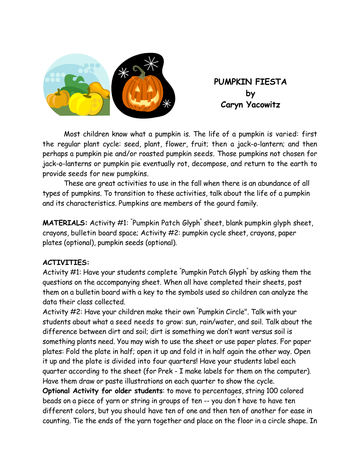

**PUMPKIN FIESTA by Caryn Yacowitz** 

 Most children know what a pumpkin is. The life of a pumpkin is varied: first the regular plant cycle: seed, plant, flower, fruit; then a jack-o-lantern; and then perhaps a pumpkin pie and/or roasted pumpkin seeds. Those pumpkins not chosen for jack-o-lanterns or pumpkin pie eventually rot, decompose, and return to the earth to provide seeds for new pumpkins.

 These are great activities to use in the fall when there is an abundance of all types of pumpkins. To transition to these activities, talk about the life of a pumpkin and its characteristics. Pumpkins are members of the gourd family.

**MATERIALS:** Activity #1: <sup>"</sup>Pumpkin Patch Glyph" sheet, blank pumpkin glyph sheet, crayons, bulletin board space; Activity #2: pumpkin cycle sheet, crayons, paper plates (optional), pumpkin seeds (optional).

#### **ACTIVITIES:**

Activity #1: Have your students complete " Pumpkin Patch Glyph" by asking them the questions on the accompanying sheet. When all have completed their sheets, post them on a bulletin board with a key to the symbols used so children can analyze the data their class collected.

Activity #2: Have your children make their own " Pumpkin Circle". Talk with your students about what a seed needs to grow: sun, rain/water, and soil. Talk about the difference between dirt and soil; dirt is something we don't want versus soil is something plants need. You may wish to use the sheet or use paper plates. For paper plates: Fold the plate in half; open it up and fold it in half again the other way. Open it up and the plate is divided into four quarters! Have your students label each quarter according to the sheet (for Prek - I make labels for them on the computer). Have them draw or paste illustrations on each quarter to show the cycle.

**Optional Activity for older students**: to move to percentages, string 100 colored beads on a piece of yarn or string in groups of ten -- you don' t have to have ten different colors, but you should have ten of one and then ten of another for ease in counting. Tie the ends of the yarn together and place on the floor in a circle shape. In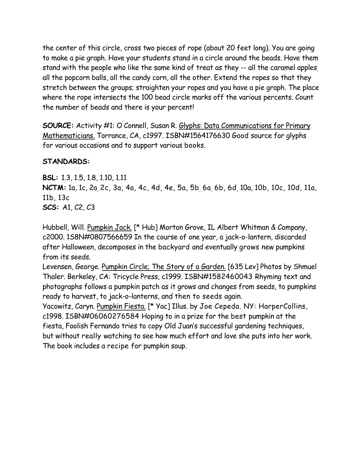the center of this circle, cross two pieces of rope (about 20 feet long). You are going to make a pie graph. Have your students stand in a circle around the beads. Have them stand with the people who like the same kind of treat as they -- all the caramel apples, all the popcorn balls, all the candy corn, all the other. Extend the ropes so that they stretch between the groups; straighten your ropes and you have a pie graph. The place where the rope intersects the 100 bead circle marks off the various percents. Count the number of beads and there is your percent!

SOURCE: Activity #1: O Connell, Susan R. Glyphs: Data Communications for Primary Mathematicians. Torrance, CA, c1997. ISBN#1564176630 Good source for glyphs for various occasions and to support various books.

#### **STANDARDS:**

**BSL:** 1.3, 1.5, 1.8, 1.10, 1.11 **NCTM:** 1a, 1c, 2a, 2c, 3a, 4a, 4c, 4d, 4e, 5a, 5b, 6a, 6b, 6d, 10a, 10b, 10c, 10d, 11a, 11b, 13c **SCS:** A1, C2, C3

Hubbell, Will. Pumpkin Jack. [\* Hub] Morton Grove, IL Albert Whitman & Company, c2000. 1S8N#0807566659 In the course of one year, a jack-o-lantern, discarded after Halloween, decomposes in the backyard and eventually grows new pumpkins from its seeds.

Levensen, George. Pumpkin Circle; The Story of a Garden. [635 Lev] Photos by Shmuel Thaler. Berkeley, CA: Tricycle Press, c1999. ISBN#1582460043 Rhyming text and photographs follows a pumpkin patch as it grows and changes from seeds, to pumpkins ready to harvest, to jack-o-lanterns, and then to seeds again.

Yacowitz, Caryn. Pumpkin Fiesta. [\* Yac] Illus. by Joe Cepeda. NY: HarperCollins, c1998. ISBN#06060276584 Hoping to in a prize for the best pumpkin at the fiesta, Foolish Fernando tries to copy Old Juan's successful gardening techniques, but without really watching to see how much effort and love she puts into her work. The book includes a recipe for pumpkin soup.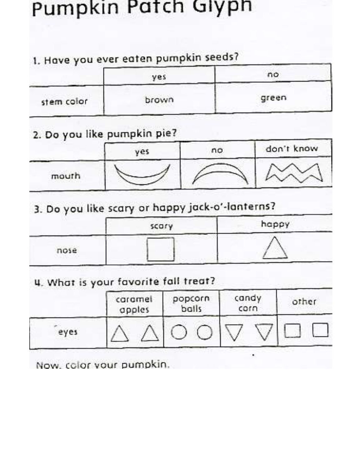# Pumpkin Patch Glyph

## 1. Have you ever eaten pumpkin seeds?

|            | ves   | no    |
|------------|-------|-------|
| stem color | brown | green |

### 2. Do you like pumpkin pie?

|       | บ 655 | no. | don't know |
|-------|-------|-----|------------|
| mouth |       |     |            |

## 3. Do you like scary or happy jack-o'-lanterns?

| scary | happy |  |
|-------|-------|--|
|       |       |  |
|       |       |  |

### 4. What is your favorite fall treat?

|      | caramel<br>opples | popcorn<br>balls | candy<br>corn | other |
|------|-------------------|------------------|---------------|-------|
| eyes |                   |                  |               |       |

Now, color your pumpkin.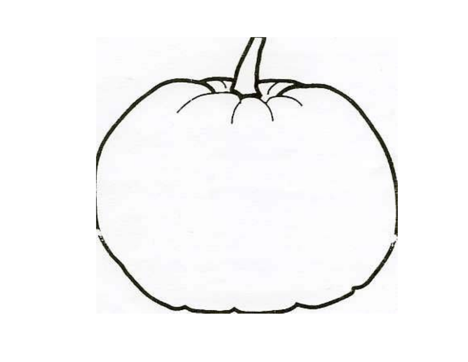